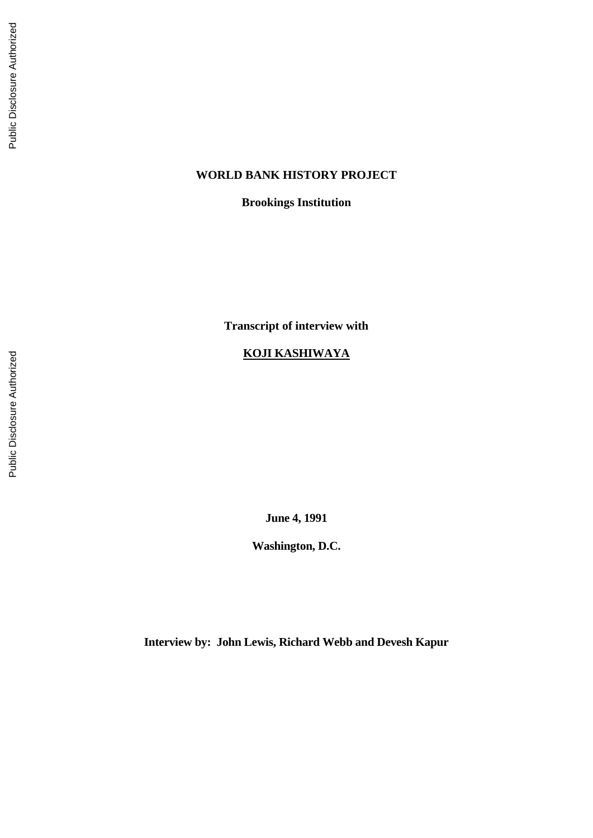# **WORLD BANK HISTORY PROJECT**

**Brookings Institution**

**Transcript of interview with**

# **KOJI KASHIW AYA**

**June 4, 1991**

**Washington, D.C.**

**Interview by: John Lewis, Richard Webb and Devesh Kapur**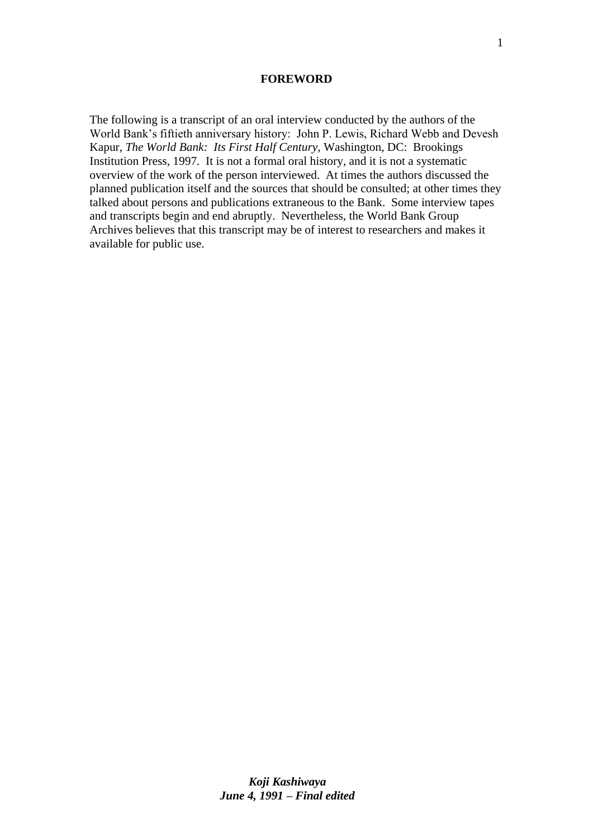#### **FOREWORD**

The following is a transcript of an oral interview conducted by the authors of the World Bank's fiftieth anniversary history: John P. Lewis, Richard Webb and Devesh Kapur, *The World Bank: Its First Half Century,* Washington, DC: Brookings Institution Press, 1997*.* It is not a formal oral history, and it is not a systematic overview of the work of the person interviewed. At times the authors discussed the planned publication itself and the sources that should be consulted; at other times they talked about persons and publications extraneous to the Bank. Some interview tapes and transcripts begin and end abruptly. Nevertheless, the World Bank Group Archives believes that this transcript may be of interest to researchers and makes it available for public use.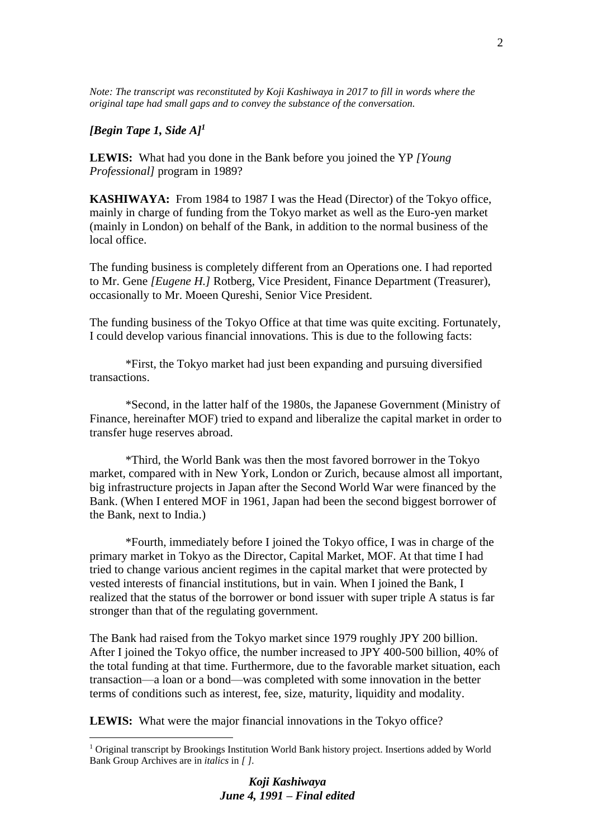*Note: The transcript was reconstituted by Koji Kashiwaya in 2017 to fill in words where the original tape had small gaps and to convey the substance of the conversation.*

### *[Begin Tape 1, Side A]<sup>1</sup>*

1

**LEWIS:** What had you done in the Bank before you joined the YP *[Young Professional]* program in 1989?

**KASHIWAYA:** From 1984 to 1987 I was the Head (Director) of the Tokyo office, mainly in charge of funding from the Tokyo market as well as the Euro-yen market (mainly in London) on behalf of the Bank, in addition to the normal business of the local office.

The funding business is completely different from an Operations one. I had reported to Mr. Gene *[Eugene H.]* Rotberg, Vice President, Finance Department (Treasurer), occasionally to Mr. Moeen Qureshi, Senior Vice President.

The funding business of the Tokyo Office at that time was quite exciting. Fortunately, I could develop various financial innovations. This is due to the following facts:

\*First, the Tokyo market had just been expanding and pursuing diversified transactions.

\*Second, in the latter half of the 1980s, the Japanese Government (Ministry of Finance, hereinafter MOF) tried to expand and liberalize the capital market in order to transfer huge reserves abroad.

\*Third, the World Bank was then the most favored borrower in the Tokyo market, compared with in New York, London or Zurich, because almost all important, big infrastructure projects in Japan after the Second World War were financed by the Bank. (When I entered MOF in 1961, Japan had been the second biggest borrower of the Bank, next to India.)

\*Fourth, immediately before I joined the Tokyo office, I was in charge of the primary market in Tokyo as the Director, Capital Market, MOF. At that time I had tried to change various ancient regimes in the capital market that were protected by vested interests of financial institutions, but in vain. When I joined the Bank, I realized that the status of the borrower or bond issuer with super triple A status is far stronger than that of the regulating government.

The Bank had raised from the Tokyo market since 1979 roughly JPY 200 billion. After I joined the Tokyo office, the number increased to JPY 400-500 billion, 40% of the total funding at that time. Furthermore, due to the favorable market situation, each transaction—a loan or a bond—was completed with some innovation in the better terms of conditions such as interest, fee, size, maturity, liquidity and modality.

**LEWIS:** What were the major financial innovations in the Tokyo office?

<sup>&</sup>lt;sup>1</sup> Original transcript by Brookings Institution World Bank history project. Insertions added by World Bank Group Archives are in *italics* in *[ ].*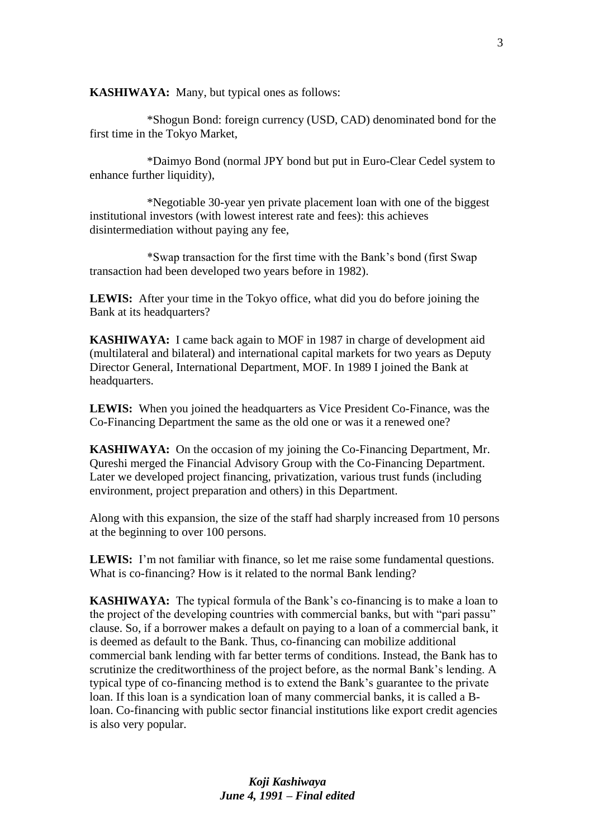**KASHIWAYA:** Many, but typical ones as follows:

\*Shogun Bond: foreign currency (USD, CAD) denominated bond for the first time in the Tokyo Market,

\*Daimyo Bond (normal JPY bond but put in Euro-Clear Cedel system to enhance further liquidity),

\*Negotiable 30-year yen private placement loan with one of the biggest institutional investors (with lowest interest rate and fees): this achieves disintermediation without paying any fee,

\*Swap transaction for the first time with the Bank's bond (first Swap transaction had been developed two years before in 1982).

**LEWIS:** After your time in the Tokyo office, what did you do before joining the Bank at its headquarters?

**KASHIWAYA:** I came back again to MOF in 1987 in charge of development aid (multilateral and bilateral) and international capital markets for two years as Deputy Director General, International Department, MOF. In 1989 I joined the Bank at headquarters.

**LEWIS:** When you joined the headquarters as Vice President Co-Finance, was the Co-Financing Department the same as the old one or was it a renewed one?

**KASHIWAYA:** On the occasion of my joining the Co-Financing Department, Mr. Qureshi merged the Financial Advisory Group with the Co-Financing Department. Later we developed project financing, privatization, various trust funds (including environment, project preparation and others) in this Department.

Along with this expansion, the size of the staff had sharply increased from 10 persons at the beginning to over 100 persons.

**LEWIS:** I'm not familiar with finance, so let me raise some fundamental questions. What is co-financing? How is it related to the normal Bank lending?

**KASHIWAYA:** The typical formula of the Bank's co-financing is to make a loan to the project of the developing countries with commercial banks, but with "pari passu" clause. So, if a borrower makes a default on paying to a loan of a commercial bank, it is deemed as default to the Bank. Thus, co-financing can mobilize additional commercial bank lending with far better terms of conditions. Instead, the Bank has to scrutinize the creditworthiness of the project before, as the normal Bank's lending. A typical type of co-financing method is to extend the Bank's guarantee to the private loan. If this loan is a syndication loan of many commercial banks, it is called a Bloan. Co-financing with public sector financial institutions like export credit agencies is also very popular.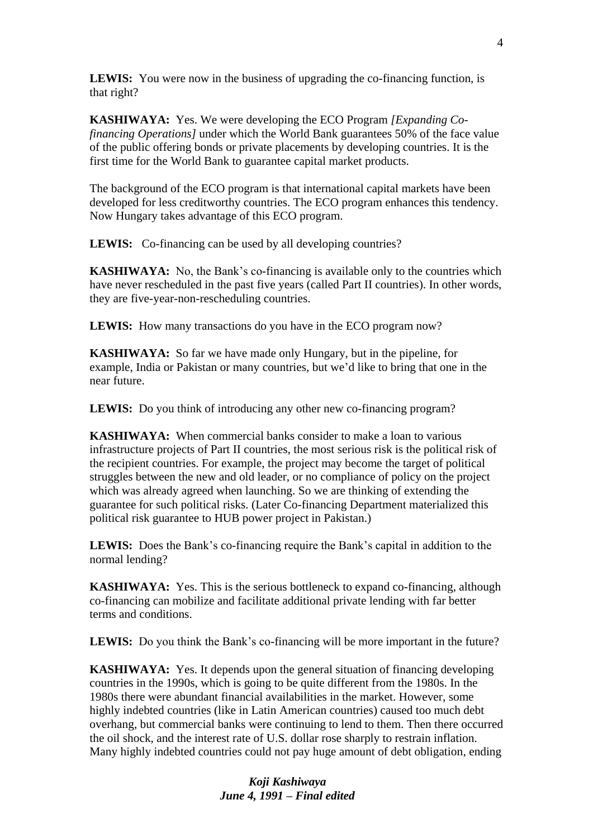**LEWIS:** You were now in the business of upgrading the co-financing function, is that right?

**KASHIWAYA:** Yes. We were developing the ECO Program *[Expanding Cofinancing Operations]* under which the World Bank guarantees 50% of the face value of the public offering bonds or private placements by developing countries. It is the first time for the World Bank to guarantee capital market products.

The background of the ECO program is that international capital markets have been developed for less creditworthy countries. The ECO program enhances this tendency. Now Hungary takes advantage of this ECO program.

**LEWIS:** Co-financing can be used by all developing countries?

**KASHIWAYA:** No, the Bank's co-financing is available only to the countries which have never rescheduled in the past five years (called Part II countries). In other words, they are five-year-non-rescheduling countries.

LEWIS: How many transactions do you have in the ECO program now?

**KASHIWAYA:** So far we have made only Hungary, but in the pipeline, for example, India or Pakistan or many countries, but we'd like to bring that one in the near future.

LEWIS: Do you think of introducing any other new co-financing program?

**KASHIWAYA:** When commercial banks consider to make a loan to various infrastructure projects of Part II countries, the most serious risk is the political risk of the recipient countries. For example, the project may become the target of political struggles between the new and old leader, or no compliance of policy on the project which was already agreed when launching. So we are thinking of extending the guarantee for such political risks. (Later Co-financing Department materialized this political risk guarantee to HUB power project in Pakistan.)

**LEWIS:** Does the Bank's co-financing require the Bank's capital in addition to the normal lending?

**KASHIWAYA:** Yes. This is the serious bottleneck to expand co-financing, although co-financing can mobilize and facilitate additional private lending with far better terms and conditions.

LEWIS: Do you think the Bank's co-financing will be more important in the future?

**KASHIWAYA:** Yes. It depends upon the general situation of financing developing countries in the 1990s, which is going to be quite different from the 1980s. In the 1980s there were abundant financial availabilities in the market. However, some highly indebted countries (like in Latin American countries) caused too much debt overhang, but commercial banks were continuing to lend to them. Then there occurred the oil shock, and the interest rate of U.S. dollar rose sharply to restrain inflation. Many highly indebted countries could not pay huge amount of debt obligation, ending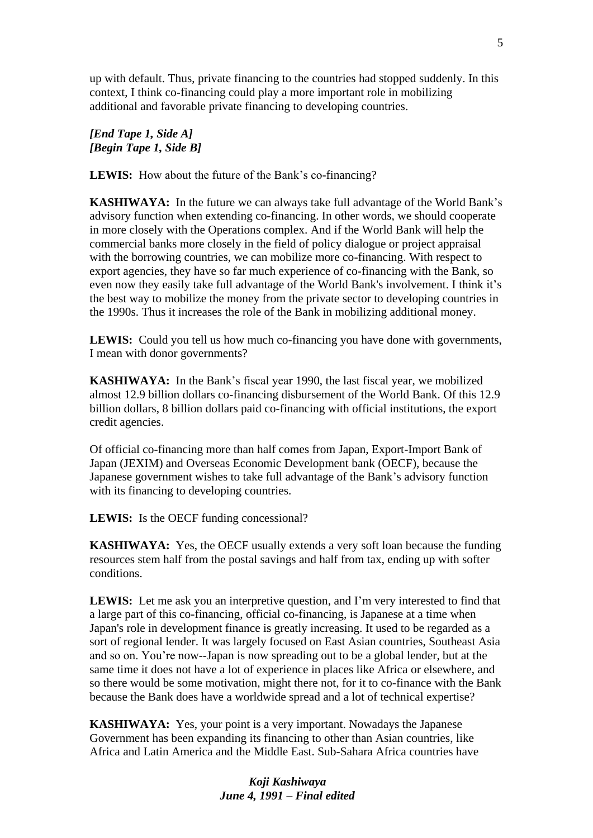up with default. Thus, private financing to the countries had stopped suddenly. In this context, I think co-financing could play a more important role in mobilizing additional and favorable private financing to developing countries.

### *[End Tape 1, Side A] [Begin Tape 1, Side B]*

LEWIS: How about the future of the Bank's co-financing?

**KASHIWAYA:** In the future we can always take full advantage of the World Bank's advisory function when extending co-financing. In other words, we should cooperate in more closely with the Operations complex. And if the World Bank will help the commercial banks more closely in the field of policy dialogue or project appraisal with the borrowing countries, we can mobilize more co-financing. With respect to export agencies, they have so far much experience of co-financing with the Bank, so even now they easily take full advantage of the World Bank's involvement. I think it's the best way to mobilize the money from the private sector to developing countries in the 1990s. Thus it increases the role of the Bank in mobilizing additional money.

LEWIS: Could you tell us how much co-financing you have done with governments, I mean with donor governments?

**KASHIWAYA:** In the Bank's fiscal year 1990, the last fiscal year, we mobilized almost 12.9 billion dollars co-financing disbursement of the World Bank. Of this 12.9 billion dollars, 8 billion dollars paid co-financing with official institutions, the export credit agencies.

Of official co-financing more than half comes from Japan, Export-Import Bank of Japan (JEXIM) and Overseas Economic Development bank (OECF), because the Japanese government wishes to take full advantage of the Bank's advisory function with its financing to developing countries.

**LEWIS:** Is the OECF funding concessional?

**KASHIWAYA:** Yes, the OECF usually extends a very soft loan because the funding resources stem half from the postal savings and half from tax, ending up with softer conditions.

**LEWIS:** Let me ask you an interpretive question, and I'm very interested to find that a large part of this co-financing, official co-financing, is Japanese at a time when Japan's role in development finance is greatly increasing. It used to be regarded as a sort of regional lender. It was largely focused on East Asian countries, Southeast Asia and so on. You're now--Japan is now spreading out to be a global lender, but at the same time it does not have a lot of experience in places like Africa or elsewhere, and so there would be some motivation, might there not, for it to co-finance with the Bank because the Bank does have a worldwide spread and a lot of technical expertise?

**KASHIWAYA:** Yes, your point is a very important. Nowadays the Japanese Government has been expanding its financing to other than Asian countries, like Africa and Latin America and the Middle East. Sub-Sahara Africa countries have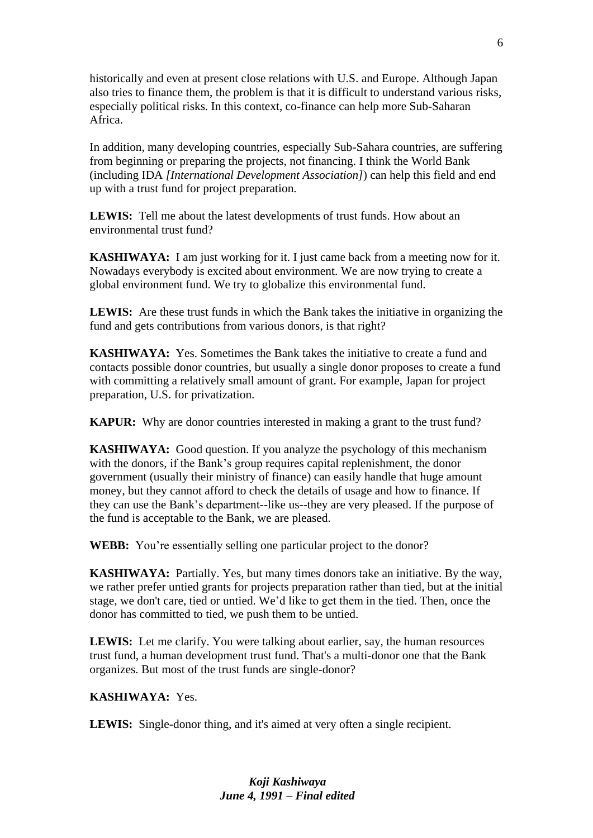historically and even at present close relations with U.S. and Europe. Although Japan also tries to finance them, the problem is that it is difficult to understand various risks, especially political risks. In this context, co-finance can help more Sub-Saharan Africa.

In addition, many developing countries, especially Sub-Sahara countries, are suffering from beginning or preparing the projects, not financing. I think the World Bank (including IDA *[International Development Association]*) can help this field and end up with a trust fund for project preparation.

**LEWIS:** Tell me about the latest developments of trust funds. How about an environmental trust fund?

**KASHIWAYA:** I am just working for it. I just came back from a meeting now for it. Nowadays everybody is excited about environment. We are now trying to create a global environment fund. We try to globalize this environmental fund.

**LEWIS:** Are these trust funds in which the Bank takes the initiative in organizing the fund and gets contributions from various donors, is that right?

**KASHIWAYA:** Yes. Sometimes the Bank takes the initiative to create a fund and contacts possible donor countries, but usually a single donor proposes to create a fund with committing a relatively small amount of grant. For example, Japan for project preparation, U.S. for privatization.

**KAPUR:** Why are donor countries interested in making a grant to the trust fund?

**KASHIWAYA:** Good question. If you analyze the psychology of this mechanism with the donors, if the Bank's group requires capital replenishment, the donor government (usually their ministry of finance) can easily handle that huge amount money, but they cannot afford to check the details of usage and how to finance. If they can use the Bank's department--like us--they are very pleased. If the purpose of the fund is acceptable to the Bank, we are pleased.

**WEBB:** You're essentially selling one particular project to the donor?

**KASHIWAYA:** Partially. Yes, but many times donors take an initiative. By the way, we rather prefer untied grants for projects preparation rather than tied, but at the initial stage, we don't care, tied or untied. We'd like to get them in the tied. Then, once the donor has committed to tied, we push them to be untied.

**LEWIS:** Let me clarify. You were talking about earlier, say, the human resources trust fund, a human development trust fund. That's a multi-donor one that the Bank organizes. But most of the trust funds are single-donor?

**KASHIWAYA:** Yes.

**LEWIS:** Single-donor thing, and it's aimed at very often a single recipient.

6